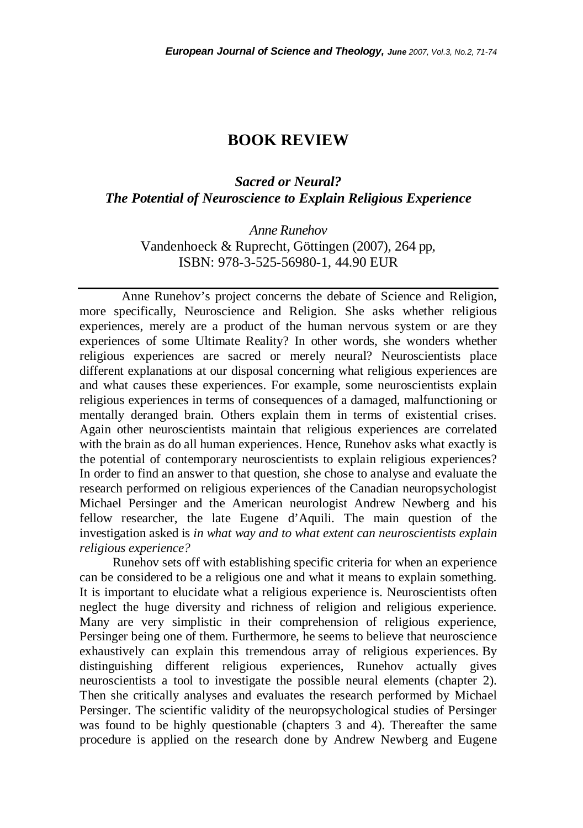# **BOOK REVIEW**

## *Sacred or Neural? The Potential of Neuroscience to Explain Religious Experience*

*Anne Runehov*  Vandenhoeck & Ruprecht, Göttingen (2007), 264 pp, ISBN: 978-3-525-56980-1, 44.90 EUR

 Anne Runehov's project concerns the debate of Science and Religion, more specifically, Neuroscience and Religion. She asks whether religious experiences, merely are a product of the human nervous system or are they experiences of some Ultimate Reality? In other words, she wonders whether religious experiences are sacred or merely neural? Neuroscientists place different explanations at our disposal concerning what religious experiences are and what causes these experiences. For example, some neuroscientists explain religious experiences in terms of consequences of a damaged, malfunctioning or mentally deranged brain. Others explain them in terms of existential crises. Again other neuroscientists maintain that religious experiences are correlated with the brain as do all human experiences. Hence, Runehov asks what exactly is the potential of contemporary neuroscientists to explain religious experiences? In order to find an answer to that question, she chose to analyse and evaluate the research performed on religious experiences of the Canadian neuropsychologist Michael Persinger and the American neurologist Andrew Newberg and his fellow researcher, the late Eugene d'Aquili. The main question of the investigation asked is *in what way and to what extent can neuroscientists explain religious experience?*

Runehov sets off with establishing specific criteria for when an experience can be considered to be a religious one and what it means to explain something. It is important to elucidate what a religious experience is. Neuroscientists often neglect the huge diversity and richness of religion and religious experience. Many are very simplistic in their comprehension of religious experience, Persinger being one of them. Furthermore, he seems to believe that neuroscience exhaustively can explain this tremendous array of religious experiences. By distinguishing different religious experiences, Runehov actually gives neuroscientists a tool to investigate the possible neural elements (chapter 2). Then she critically analyses and evaluates the research performed by Michael Persinger. The scientific validity of the neuropsychological studies of Persinger was found to be highly questionable (chapters 3 and 4). Thereafter the same procedure is applied on the research done by Andrew Newberg and Eugene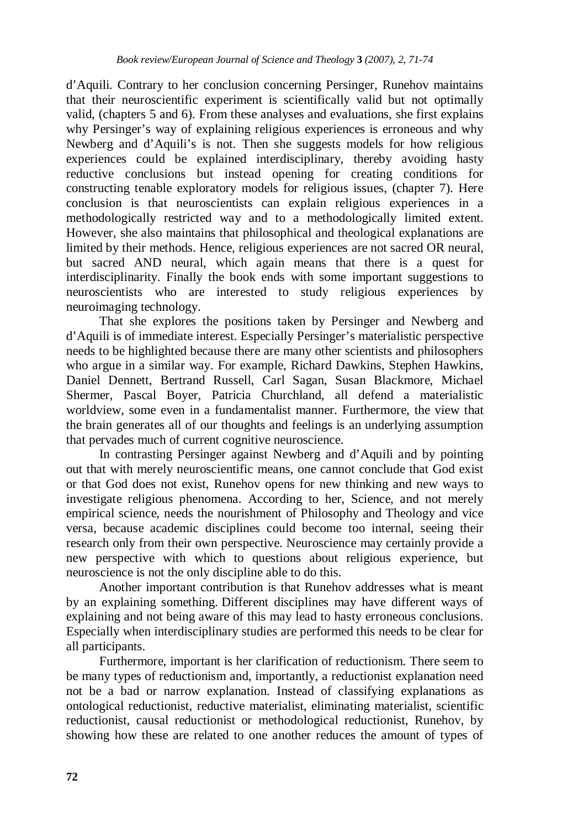d'Aquili. Contrary to her conclusion concerning Persinger, Runehov maintains that their neuroscientific experiment is scientifically valid but not optimally valid, (chapters 5 and 6). From these analyses and evaluations, she first explains why Persinger's way of explaining religious experiences is erroneous and why Newberg and d'Aquili's is not. Then she suggests models for how religious experiences could be explained interdisciplinary, thereby avoiding hasty reductive conclusions but instead opening for creating conditions for constructing tenable exploratory models for religious issues, (chapter 7). Here conclusion is that neuroscientists can explain religious experiences in a methodologically restricted way and to a methodologically limited extent. However, she also maintains that philosophical and theological explanations are limited by their methods. Hence, religious experiences are not sacred OR neural, but sacred AND neural, which again means that there is a quest for interdisciplinarity. Finally the book ends with some important suggestions to neuroscientists who are interested to study religious experiences by neuroimaging technology.

That she explores the positions taken by Persinger and Newberg and d'Aquili is of immediate interest. Especially Persinger's materialistic perspective needs to be highlighted because there are many other scientists and philosophers who argue in a similar way. For example, Richard Dawkins, Stephen Hawkins, Daniel Dennett, Bertrand Russell, Carl Sagan, Susan Blackmore, Michael Shermer, Pascal Boyer, Patricia Churchland, all defend a materialistic worldview, some even in a fundamentalist manner. Furthermore, the view that the brain generates all of our thoughts and feelings is an underlying assumption that pervades much of current cognitive neuroscience.

In contrasting Persinger against Newberg and d'Aquili and by pointing out that with merely neuroscientific means, one cannot conclude that God exist or that God does not exist, Runehov opens for new thinking and new ways to investigate religious phenomena. According to her, Science, and not merely empirical science, needs the nourishment of Philosophy and Theology and vice versa, because academic disciplines could become too internal, seeing their research only from their own perspective. Neuroscience may certainly provide a new perspective with which to questions about religious experience, but neuroscience is not the only discipline able to do this.

Another important contribution is that Runehov addresses what is meant by an explaining something. Different disciplines may have different ways of explaining and not being aware of this may lead to hasty erroneous conclusions. Especially when interdisciplinary studies are performed this needs to be clear for all participants.

Furthermore, important is her clarification of reductionism. There seem to be many types of reductionism and, importantly, a reductionist explanation need not be a bad or narrow explanation. Instead of classifying explanations as ontological reductionist, reductive materialist, eliminating materialist, scientific reductionist, causal reductionist or methodological reductionist, Runehov, by showing how these are related to one another reduces the amount of types of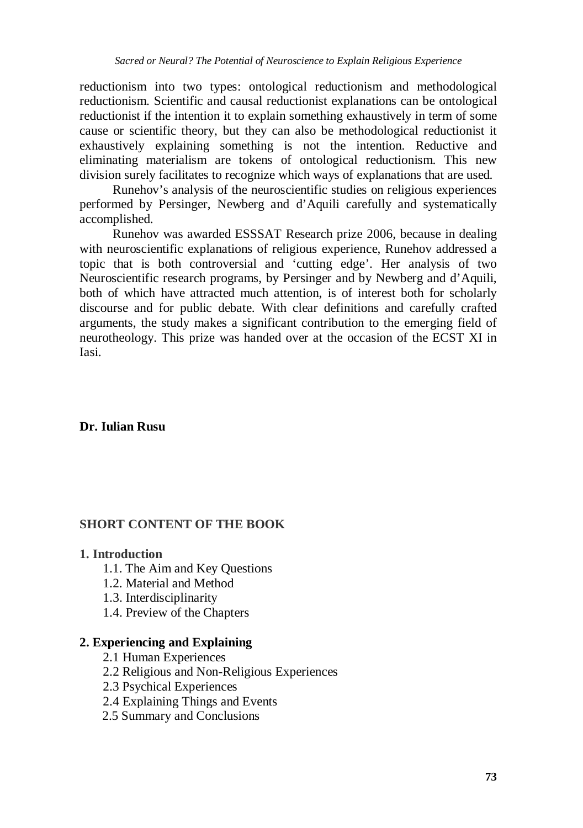reductionism into two types: ontological reductionism and methodological reductionism. Scientific and causal reductionist explanations can be ontological reductionist if the intention it to explain something exhaustively in term of some cause or scientific theory, but they can also be methodological reductionist it exhaustively explaining something is not the intention. Reductive and eliminating materialism are tokens of ontological reductionism. This new division surely facilitates to recognize which ways of explanations that are used.

Runehov's analysis of the neuroscientific studies on religious experiences performed by Persinger, Newberg and d'Aquili carefully and systematically accomplished.

 Runehov was awarded ESSSAT Research prize 2006, because in dealing with neuroscientific explanations of religious experience, Runehov addressed a topic that is both controversial and 'cutting edge'. Her analysis of two Neuroscientific research programs, by Persinger and by Newberg and d'Aquili, both of which have attracted much attention, is of interest both for scholarly discourse and for public debate. With clear definitions and carefully crafted arguments, the study makes a significant contribution to the emerging field of neurotheology. This prize was handed over at the occasion of the ECST XI in Iasi.

#### **Dr. Iulian Rusu**

#### **SHORT CONTENT OF THE BOOK**

#### **1. Introduction**

- 1.1. The Aim and Key Questions
- 1.2. Material and Method
- 1.3. Interdisciplinarity
- 1.4. Preview of the Chapters

#### **2. Experiencing and Explaining**

- 2.1 Human Experiences
- 2.2 Religious and Non-Religious Experiences
- 2.3 Psychical Experiences
- 2.4 Explaining Things and Events
- 2.5 Summary and Conclusions